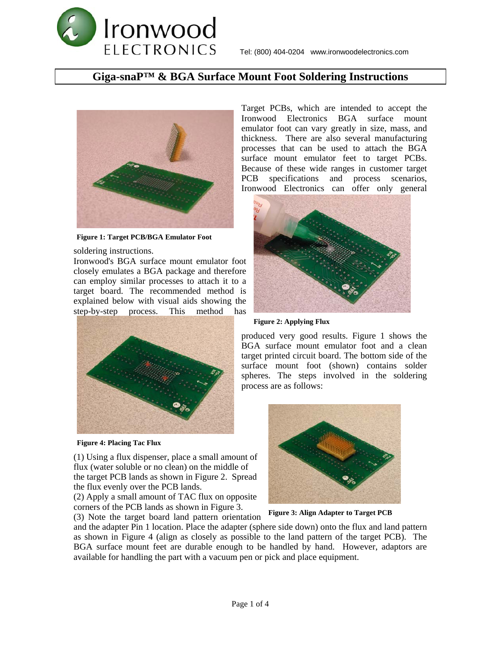### **Giga-snaP™ & BGA Surface Mount Foot Soldering Instructions**



**Figure 1: Target PCB/BGA Emulator Foot**

soldering instructions.

Ironwood's BGA surface mount emulator foot closely emulates a BGA package and therefore can employ similar processes to attach it to a target board. The recommended method is explained below with visual aids showing the step-by-step process. This method has



**Figure 4: Placing Tac Flux**

(1) Using a flux dispenser, place a small amount of flux (water soluble or no clean) on the middle of the target PCB lands as shown in Figure 2. Spread the flux evenly over the PCB lands.

(2) Apply a small amount of TAC flux on opposite corners of the PCB lands as shown in Figure 3.

(3) Note the target board land pattern orientation

Target PCBs, which are intended to accept the Ironwood Electronics BGA surface mount emulator foot can vary greatly in size, mass, and thickness. There are also several manufacturing processes that can be used to attach the BGA surface mount emulator feet to target PCBs. Because of these wide ranges in customer target PCB specifications and process scenarios, Ironwood Electronics can offer only general



**Figure 2: Applying Flux**

produced very good results. Figure 1 shows the BGA surface mount emulator foot and a clean target printed circuit board. The bottom side of the surface mount foot (shown) contains solder spheres. The steps involved in the soldering process are as follows:



**Figure 3: Align Adapter to Target PCB**

and the adapter Pin 1 location. Place the adapter (sphere side down) onto the flux and land pattern as shown in Figure 4 (align as closely as possible to the land pattern of the target PCB). The BGA surface mount feet are durable enough to be handled by hand. However, adaptors are available for handling the part with a vacuum pen or pick and place equipment.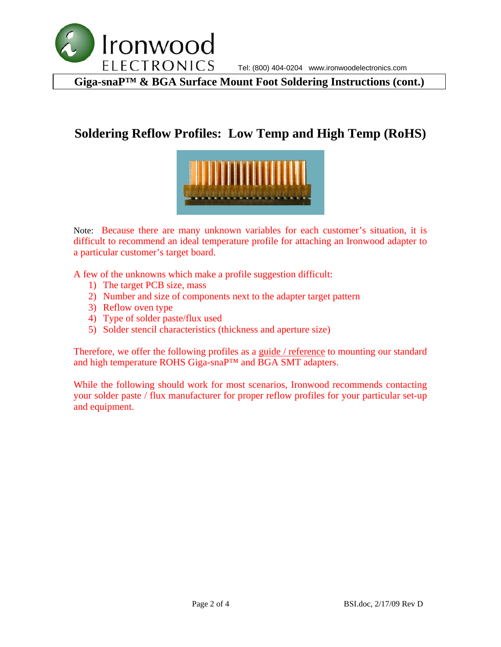

**Giga-snaP™ & BGA Surface Mount Foot Soldering Instructions (cont.)** 

# **Soldering Reflow Profiles: Low Temp and High Temp (RoHS)**



Note: Because there are many unknown variables for each customer's situation, it is difficult to recommend an ideal temperature profile for attaching an Ironwood adapter to a particular customer's target board.

A few of the unknowns which make a profile suggestion difficult:

- 1) The target PCB size, mass
- 2) Number and size of components next to the adapter target pattern
- 3) Reflow oven type
- 4) Type of solder paste/flux used
- 5) Solder stencil characteristics (thickness and aperture size)

Therefore, we offer the following profiles as a guide / reference to mounting our standard and high temperature ROHS Giga-snaP™ and BGA SMT adapters.

While the following should work for most scenarios, Ironwood recommends contacting your solder paste / flux manufacturer for proper reflow profiles for your particular set-up and equipment.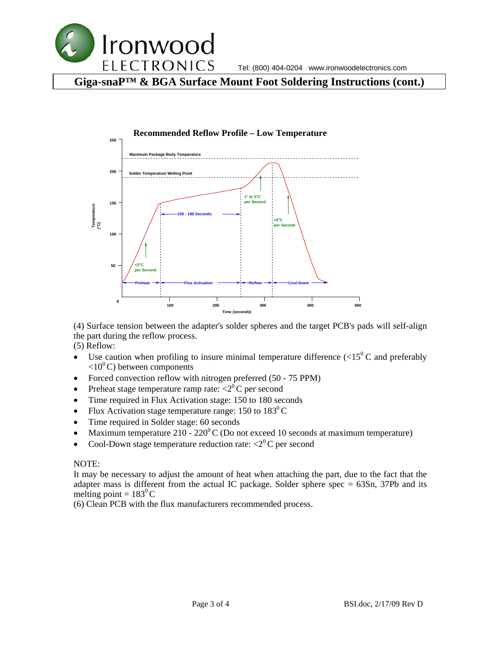

**Giga-snaP™ & BGA Surface Mount Foot Soldering Instructions (cont.)** 



(4) Surface tension between the adapter's solder spheres and the target PCB's pads will self-align the part during the reflow process.

(5) Reflow:

- Use caution when profiling to insure minimal temperature difference  $(<15^{\circ}$ C and preferably  $\langle 10^0 \text{C} \rangle$  between components
- Forced convection reflow with nitrogen preferred (50 75 PPM)
- Preheat stage temperature ramp rate:  $\langle 2^0 \text{C} \rangle$  per second
- Time required in Flux Activation stage: 150 to 180 seconds
- Flux Activation stage temperature range: 150 to  $183^{\circ}$ C
- Time required in Solder stage: 60 seconds
- Maximum temperature 210 220 $\mathrm{^0C}$  (Do not exceed 10 seconds at maximum temperature)
- Cool-Down stage temperature reduction rate:  $\langle 2^0 C \rangle$  per second

#### NOTE:

It may be necessary to adjust the amount of heat when attaching the part, due to the fact that the adapter mass is different from the actual IC package. Solder sphere spec  $= 63Sn$ , 37Pb and its melting point =  $183^{\circ}$ C

(6) Clean PCB with the flux manufacturers recommended process.